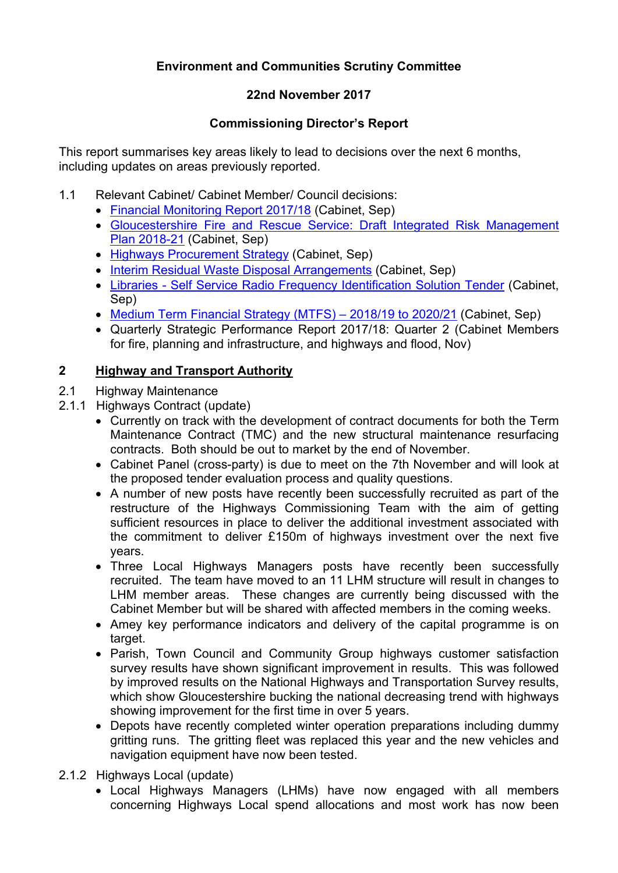# **Environment and Communities Scrutiny Committee**

# **22nd November 2017**

# **Commissioning Director's Report**

This report summarises key areas likely to lead to decisions over the next 6 months, including updates on areas previously reported.

- 1.1 Relevant Cabinet/ Cabinet Member/ Council decisions:
	- Financial [Monitoring](http://glostext.gloucestershire.gov.uk/ieDecisionDetails.aspx?ID=996) Report 2017/18 (Cabinet, Sep)
	- [Gloucestershire](http://glostext.gloucestershire.gov.uk/ieDecisionDetails.aspx?ID=997) Fire and Rescue Service: Draft Integrated Risk Management Plan [2018-21](http://glostext.gloucestershire.gov.uk/ieDecisionDetails.aspx?ID=997) (Cabinet, Sep)
	- Highways [Procurement](http://glostext.gloucestershire.gov.uk/ieDecisionDetails.aspx?ID=1002) Strategy (Cabinet, Sep)
	- Interim Residual Waste Disposal [Arrangements](http://glostext.gloucestershire.gov.uk/ieDecisionDetails.aspx?ID=1004) (Cabinet, Sep)
	- Libraries Self Service Radio Frequency [Identification](http://glostext.gloucestershire.gov.uk/ieDecisionDetails.aspx?ID=1000) Solution Tender (Cabinet, Sep)
	- Medium Term [Financial](http://glostext.gloucestershire.gov.uk/ieDecisionDetails.aspx?ID=1005) Strategy (MTFS) 2018/19 to 2020/21 (Cabinet, Sep)
	- Quarterly Strategic Performance Report 2017/18: Quarter 2 (Cabinet Members for fire, planning and infrastructure, and highways and flood, Nov)

# **2 Highway and Transport Authority**

- 2.1 Highway Maintenance
- 2.1.1 Highways Contract (update)
	- Currently on track with the development of contract documents for both the Term Maintenance Contract (TMC) and the new structural maintenance resurfacing contracts. Both should be out to market by the end of November.
	- Cabinet Panel (cross-party) is due to meet on the 7th November and will look at the proposed tender evaluation process and quality questions.
	- A number of new posts have recently been successfully recruited as part of the restructure of the Highways Commissioning Team with the aim of getting sufficient resources in place to deliver the additional investment associated with the commitment to deliver £150m of highways investment over the next five years.
	- Three Local Highways Managers posts have recently been successfully recruited. The team have moved to an 11 LHM structure will result in changes to LHM member areas. These changes are currently being discussed with the Cabinet Member but will be shared with affected members in the coming weeks.
	- Amey key performance indicators and delivery of the capital programme is on target.
	- Parish, Town Council and Community Group highways customer satisfaction survey results have shown significant improvement in results. This was followed by improved results on the National Highways and Transportation Survey results, which show Gloucestershire bucking the national decreasing trend with highways showing improvement for the first time in over 5 years.
	- Depots have recently completed winter operation preparations including dummy gritting runs. The gritting fleet was replaced this year and the new vehicles and navigation equipment have now been tested.
- 2.1.2 Highways Local (update)
	- Local Highways Managers (LHMs) have now engaged with all members concerning Highways Local spend allocations and most work has now been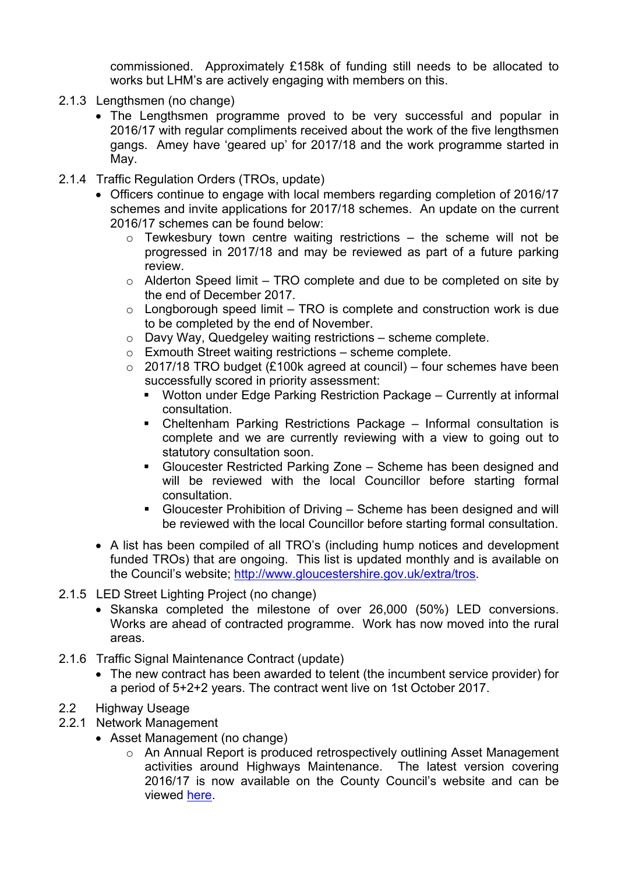commissioned. Approximately £158k of funding still needs to be allocated to works but LHM's are actively engaging with members on this.

- 2.1.3 Lengthsmen (no change)
	- The Lengthsmen programme proved to be very successful and popular in 2016/17 with regular compliments received about the work of the five lengthsmen gangs. Amey have 'geared up' for 2017/18 and the work programme started in May.
- 2.1.4 Traffic Regulation Orders (TROs, update)
	- Officers continue to engage with local members regarding completion of 2016/17 schemes and invite applications for 2017/18 schemes. An update on the current 2016/17 schemes can be found below:
		- $\circ$  Tewkesbury town centre waiting restrictions the scheme will not be progressed in 2017/18 and may be reviewed as part of a future parking review.
		- $\circ$  Alderton Speed limit TRO complete and due to be completed on site by the end of December 2017.
		- $\circ$  Longborough speed limit TRO is complete and construction work is due to be completed by the end of November.
		- o Davy Way, Quedgeley waiting restrictions scheme complete.
		- o Exmouth Street waiting restrictions scheme complete.
		- $\circ$  2017/18 TRO budget (£100k agreed at council) four schemes have been successfully scored in priority assessment:
			- Wotton under Edge Parking Restriction Package Currently at informal consultation.
			- Cheltenham Parking Restrictions Package Informal consultation is complete and we are currently reviewing with a view to going out to statutory consultation soon.
			- Gloucester Restricted Parking Zone Scheme has been designed and will be reviewed with the local Councillor before starting formal consultation.
			- Gloucester Prohibition of Driving Scheme has been designed and will be reviewed with the local Councillor before starting formal consultation.
	- A list has been compiled of all TRO's (including hump notices and development funded TROs) that are ongoing. This list is updated monthly and is available on the Council's website; [http://www.gloucestershire.gov.uk/extra/tros.](http://www.gloucestershire.gov.uk/extra/tros)
- 2.1.5 LED Street Lighting Project (no change)
	- Skanska completed the milestone of over 26,000 (50%) LED conversions. Works are ahead of contracted programme. Work has now moved into the rural areas.
- 2.1.6 Traffic Signal Maintenance Contract (update)
	- The new contract has been awarded to telent (the incumbent service provider) for a period of 5+2+2 years. The contract went live on 1st October 2017.
- 2.2 Highway Useage
- 2.2.1 Network Management
	- Asset Management (no change)
		- o An Annual Report is produced retrospectively outlining Asset Management activities around Highways Maintenance. The latest version covering 2016/17 is now available on the County Council's website and can be viewed [here](http://www.gloucestershire.gov.uk/media/2153/highways-annual-asset-management-report-2017-r1.pdf).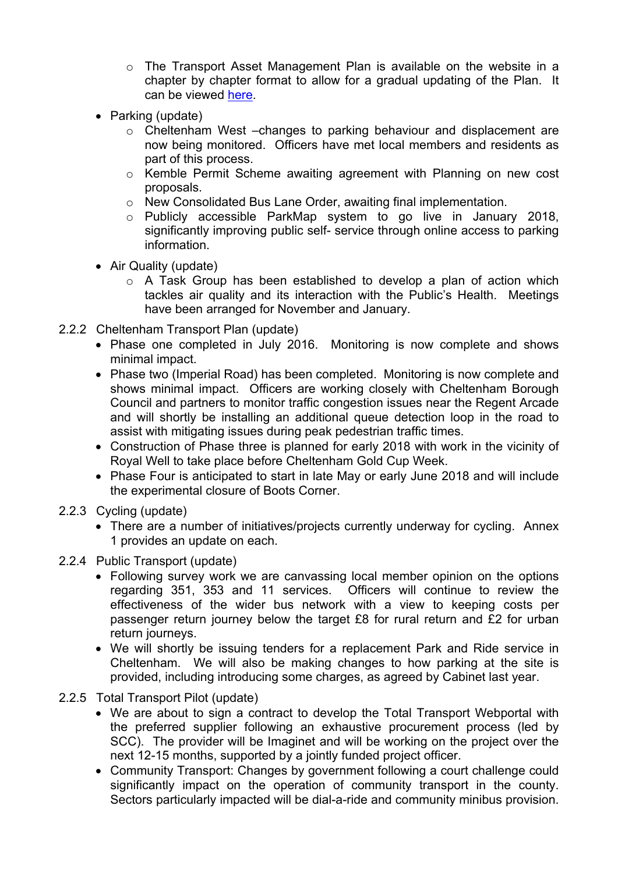- $\circ$  The Transport Asset Management Plan is available on the website in a chapter by chapter format to allow for a gradual updating of the Plan. It can be viewed [here.](http://www.gloucestershire.gov.uk/transport/transport-asset-management-plan-tamp/)
- Parking (update)
	- o Cheltenham West –changes to parking behaviour and displacement are now being monitored. Officers have met local members and residents as part of this process.
	- o Kemble Permit Scheme awaiting agreement with Planning on new cost proposals.
	- o New Consolidated Bus Lane Order, awaiting final implementation.
	- o Publicly accessible ParkMap system to go live in January 2018, significantly improving public self- service through online access to parking information.
- Air Quality (update)
	- o A Task Group has been established to develop a plan of action which tackles air quality and its interaction with the Public's Health. Meetings have been arranged for November and January.
- 2.2.2 Cheltenham Transport Plan (update)
	- Phase one completed in July 2016. Monitoring is now complete and shows minimal impact.
	- Phase two (Imperial Road) has been completed. Monitoring is now complete and shows minimal impact. Officers are working closely with Cheltenham Borough Council and partners to monitor traffic congestion issues near the Regent Arcade and will shortly be installing an additional queue detection loop in the road to assist with mitigating issues during peak pedestrian traffic times.
	- Construction of Phase three is planned for early 2018 with work in the vicinity of Royal Well to take place before Cheltenham Gold Cup Week.
	- Phase Four is anticipated to start in late May or early June 2018 and will include the experimental closure of Boots Corner.
- 2.2.3 Cycling (update)
	- There are a number of initiatives/projects currently underway for cycling. Annex 1 provides an update on each.
- 2.2.4 Public Transport (update)
	- Following survey work we are canvassing local member opinion on the options regarding 351, 353 and 11 services. Officers will continue to review the effectiveness of the wider bus network with a view to keeping costs per passenger return journey below the target £8 for rural return and £2 for urban return journeys.
	- We will shortly be issuing tenders for a replacement Park and Ride service in Cheltenham. We will also be making changes to how parking at the site is provided, including introducing some charges, as agreed by Cabinet last year.
- 2.2.5 Total Transport Pilot (update)
	- We are about to sign a contract to develop the Total Transport Webportal with the preferred supplier following an exhaustive procurement process (led by SCC). The provider will be Imaginet and will be working on the project over the next 12-15 months, supported by a jointly funded project officer.
	- Community Transport: Changes by government following a court challenge could significantly impact on the operation of community transport in the county. Sectors particularly impacted will be dial-a-ride and community minibus provision.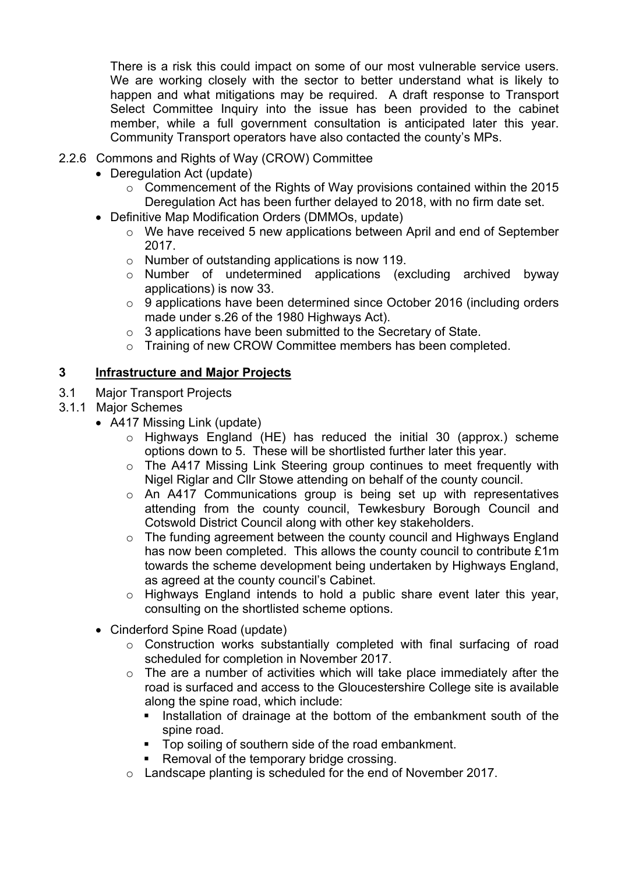There is a risk this could impact on some of our most vulnerable service users. We are working closely with the sector to better understand what is likely to happen and what mitigations may be required. A draft response to Transport Select Committee Inquiry into the issue has been provided to the cabinet member, while a full government consultation is anticipated later this year. Community Transport operators have also contacted the county's MPs.

- 2.2.6 Commons and Rights of Way (CROW) Committee
	- Deregulation Act (update)
		- o Commencement of the Rights of Way provisions contained within the 2015 Deregulation Act has been further delayed to 2018, with no firm date set.
	- Definitive Map Modification Orders (DMMOs, update)
		- o We have received 5 new applications between April and end of September 2017.
		- o Number of outstanding applications is now 119.
		- o Number of undetermined applications (excluding archived byway applications) is now 33.
		- o 9 applications have been determined since October 2016 (including orders made under s.26 of the 1980 Highways Act).
		- o 3 applications have been submitted to the Secretary of State.
		- o Training of new CROW Committee members has been completed.

# **3 Infrastructure and Major Projects**

- 3.1 Major Transport Projects
- 3.1.1 Major Schemes
	- A417 Missing Link (update)
		- o Highways England (HE) has reduced the initial 30 (approx.) scheme options down to 5. These will be shortlisted further later this year.
		- o The A417 Missing Link Steering group continues to meet frequently with Nigel Riglar and Cllr Stowe attending on behalf of the county council.
		- o An A417 Communications group is being set up with representatives attending from the county council, Tewkesbury Borough Council and Cotswold District Council along with other key stakeholders.
		- $\circ$  The funding agreement between the county council and Highways England has now been completed. This allows the county council to contribute £1m towards the scheme development being undertaken by Highways England, as agreed at the county council's Cabinet.
		- o Highways England intends to hold a public share event later this year, consulting on the shortlisted scheme options.
	- Cinderford Spine Road (update)
		- o Construction works substantially completed with final surfacing of road scheduled for completion in November 2017.
		- o The are a number of activities which will take place immediately after the road is surfaced and access to the Gloucestershire College site is available along the spine road, which include:
			- Installation of drainage at the bottom of the embankment south of the spine road.
			- Top soiling of southern side of the road embankment.
			- **Removal of the temporary bridge crossing.**
		- o Landscape planting is scheduled for the end of November 2017.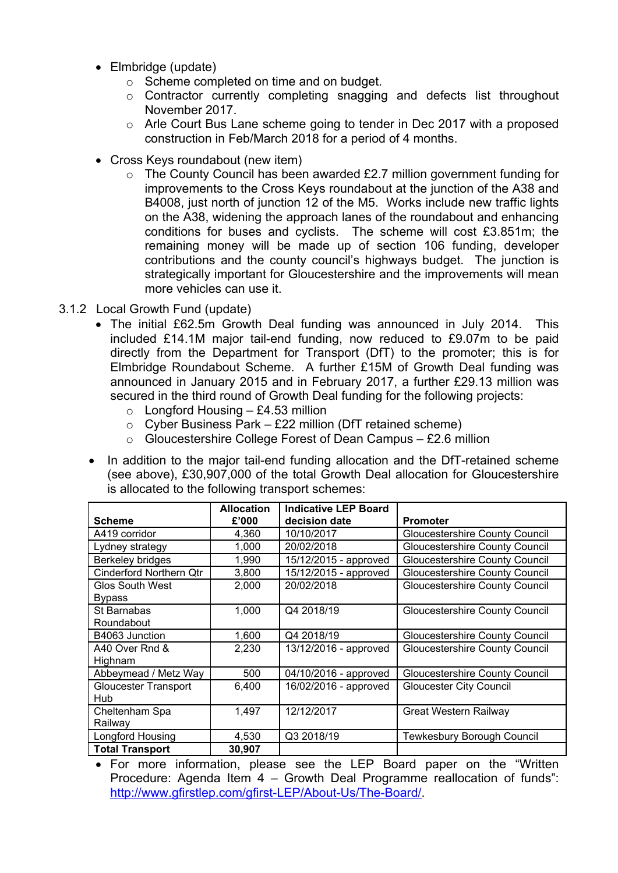- Elmbridge (update)
	- o Scheme completed on time and on budget.
	- o Contractor currently completing snagging and defects list throughout November 2017.
	- o Arle Court Bus Lane scheme going to tender in Dec 2017 with a proposed construction in Feb/March 2018 for a period of 4 months.
- Cross Keys roundabout (new item)
	- $\circ$  The County Council has been awarded £2.7 million government funding for improvements to the Cross Keys roundabout at the junction of the A38 and B4008, just north of junction 12 of the M5. Works include new traffic lights on the A38, widening the approach lanes of the roundabout and enhancing conditions for buses and cyclists. The scheme will cost £3.851m; the remaining money will be made up of section 106 funding, developer contributions and the county council's highways budget. The junction is strategically important for Gloucestershire and the improvements will mean more vehicles can use it.
- 3.1.2 Local Growth Fund (update)
	- The initial £62.5m Growth Deal funding was announced in July 2014. This included £14.1M major tail-end funding, now reduced to £9.07m to be paid directly from the Department for Transport (DfT) to the promoter; this is for Elmbridge Roundabout Scheme. A further £15M of Growth Deal funding was announced in January 2015 and in February 2017, a further £29.13 million was secured in the third round of Growth Deal funding for the following projects:
		- $\circ$  Longford Housing £4.53 million
		- $\circ$  Cyber Business Park £22 million (DfT retained scheme)
		- $\circ$  Gloucestershire College Forest of Dean Campus £2.6 million
	- In addition to the major tail-end funding allocation and the DfT-retained scheme (see above), £30,907,000 of the total Growth Deal allocation for Gloucestershire is allocated to the following transport schemes:

|                             | <b>Allocation</b> | <b>Indicative LEP Board</b> |                                       |
|-----------------------------|-------------------|-----------------------------|---------------------------------------|
| <b>Scheme</b>               | £'000             | decision date               | <b>Promoter</b>                       |
| A419 corridor               | 4.360             | 10/10/2017                  | Gloucestershire County Council        |
| Lydney strategy             | 1,000             | 20/02/2018                  | <b>Gloucestershire County Council</b> |
| Berkeley bridges            | 1,990             | 15/12/2015 - approved       | <b>Gloucestershire County Council</b> |
| Cinderford Northern Qtr     | 3,800             | 15/12/2015 - approved       | <b>Gloucestershire County Council</b> |
| <b>Glos South West</b>      | 2,000             | 20/02/2018                  | <b>Gloucestershire County Council</b> |
| <b>Bypass</b>               |                   |                             |                                       |
| St Barnabas                 | 1,000             | Q4 2018/19                  | <b>Gloucestershire County Council</b> |
| Roundabout                  |                   |                             |                                       |
| B4063 Junction              | 1,600             | Q4 2018/19                  | Gloucestershire County Council        |
| A40 Over Rnd &              | 2,230             | 13/12/2016 - approved       | <b>Gloucestershire County Council</b> |
| Highnam                     |                   |                             |                                       |
| Abbeymead / Metz Way        | 500               | 04/10/2016 - approved       | Gloucestershire County Council        |
| <b>Gloucester Transport</b> | 6,400             | 16/02/2016 - approved       | <b>Gloucester City Council</b>        |
| Hub                         |                   |                             |                                       |
| Cheltenham Spa              | 1.497             | 12/12/2017                  | <b>Great Western Railway</b>          |
| Railway                     |                   |                             |                                       |
| Longford Housing            | 4,530             | Q3 2018/19                  | <b>Tewkesbury Borough Council</b>     |
| <b>Total Transport</b>      | 30,907            |                             |                                       |

 For more information, please see the LEP Board paper on the "Written Procedure: Agenda Item 4 – Growth Deal Programme reallocation of funds": <http://www.gfirstlep.com/gfirst-LEP/About-Us/The-Board/>.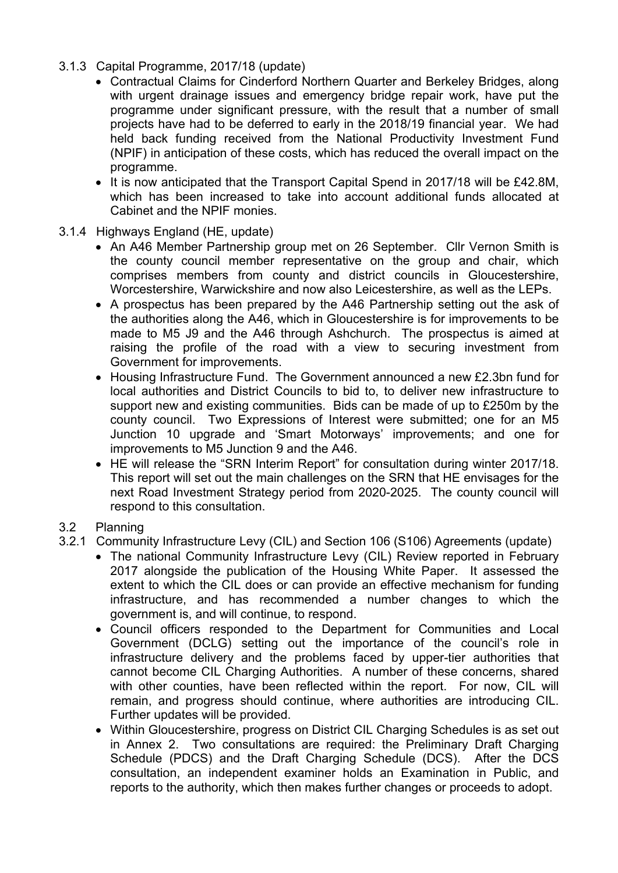- 3.1.3 Capital Programme, 2017/18 (update)
	- Contractual Claims for Cinderford Northern Quarter and Berkeley Bridges, along with urgent drainage issues and emergency bridge repair work, have put the programme under significant pressure, with the result that a number of small projects have had to be deferred to early in the 2018/19 financial year. We had held back funding received from the National Productivity Investment Fund (NPIF) in anticipation of these costs, which has reduced the overall impact on the programme.
	- It is now anticipated that the Transport Capital Spend in 2017/18 will be £42.8M, which has been increased to take into account additional funds allocated at Cabinet and the NPIF monies.
- 3.1.4 Highways England (HE, update)
	- An A46 Member Partnership group met on 26 September. Cllr Vernon Smith is the county council member representative on the group and chair, which comprises members from county and district councils in Gloucestershire, Worcestershire, Warwickshire and now also Leicestershire, as well as the LEPs.
	- A prospectus has been prepared by the A46 Partnership setting out the ask of the authorities along the A46, which in Gloucestershire is for improvements to be made to M5 J9 and the A46 through Ashchurch. The prospectus is aimed at raising the profile of the road with a view to securing investment from Government for improvements.
	- Housing Infrastructure Fund. The Government announced a new £2.3bn fund for local authorities and District Councils to bid to, to deliver new infrastructure to support new and existing communities. Bids can be made of up to £250m by the county council. Two Expressions of Interest were submitted; one for an M5 Junction 10 upgrade and 'Smart Motorways' improvements; and one for improvements to M5 Junction 9 and the A46.
	- HE will release the "SRN Interim Report" for consultation during winter 2017/18. This report will set out the main challenges on the SRN that HE envisages for the next Road Investment Strategy period from 2020-2025. The county council will respond to this consultation.

# 3.2 Planning

- 3.2.1 Community Infrastructure Levy (CIL) and Section 106 (S106) Agreements (update)
	- The national Community Infrastructure Levy (CIL) Review reported in February 2017 alongside the publication of the Housing White Paper. It assessed the extent to which the CIL does or can provide an effective mechanism for funding infrastructure, and has recommended a number changes to which the government is, and will continue, to respond.
	- Council officers responded to the Department for Communities and Local Government (DCLG) setting out the importance of the council's role in infrastructure delivery and the problems faced by upper-tier authorities that cannot become CIL Charging Authorities. A number of these concerns, shared with other counties, have been reflected within the report. For now, CIL will remain, and progress should continue, where authorities are introducing CIL. Further updates will be provided.
	- Within Gloucestershire, progress on District CIL Charging Schedules is as set out in Annex 2. Two consultations are required: the Preliminary Draft Charging Schedule (PDCS) and the Draft Charging Schedule (DCS). After the DCS consultation, an independent examiner holds an Examination in Public, and reports to the authority, which then makes further changes or proceeds to adopt.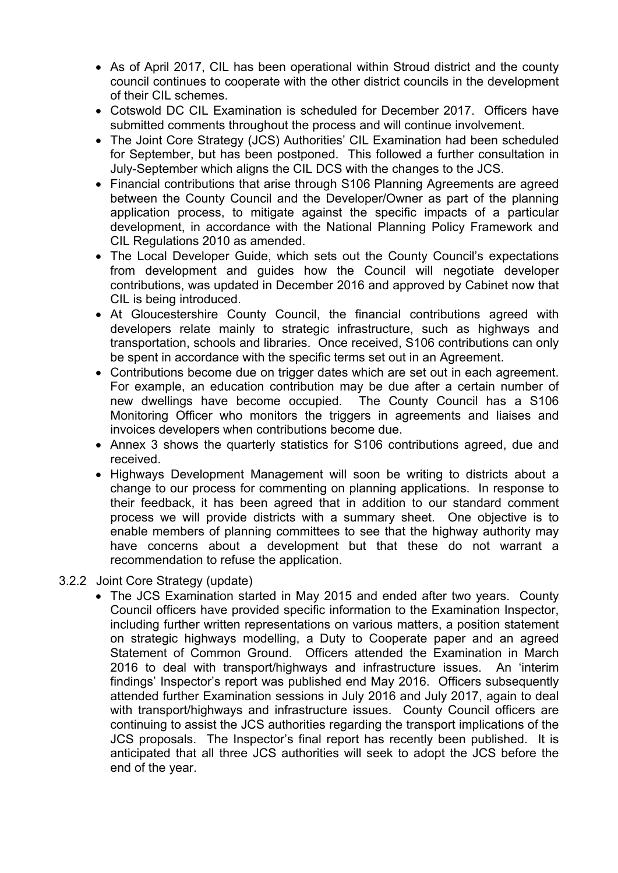- As of April 2017, CIL has been operational within Stroud district and the county council continues to cooperate with the other district councils in the development of their CIL schemes.
- Cotswold DC CIL Examination is scheduled for December 2017. Officers have submitted comments throughout the process and will continue involvement.
- The Joint Core Strategy (JCS) Authorities' CIL Examination had been scheduled for September, but has been postponed. This followed a further consultation in July-September which aligns the CIL DCS with the changes to the JCS.
- Financial contributions that arise through S106 Planning Agreements are agreed between the County Council and the Developer/Owner as part of the planning application process, to mitigate against the specific impacts of a particular development, in accordance with the National Planning Policy Framework and CIL Regulations 2010 as amended.
- The Local Developer Guide, which sets out the County Council's expectations from development and guides how the Council will negotiate developer contributions, was updated in December 2016 and approved by Cabinet now that CIL is being introduced.
- At Gloucestershire County Council, the financial contributions agreed with developers relate mainly to strategic infrastructure, such as highways and transportation, schools and libraries. Once received, S106 contributions can only be spent in accordance with the specific terms set out in an Agreement.
- Contributions become due on trigger dates which are set out in each agreement. For example, an education contribution may be due after a certain number of new dwellings have become occupied. The County Council has a S106 Monitoring Officer who monitors the triggers in agreements and liaises and invoices developers when contributions become due.
- Annex 3 shows the quarterly statistics for S106 contributions agreed, due and received.
- Highways Development Management will soon be writing to districts about a change to our process for commenting on planning applications. In response to their feedback, it has been agreed that in addition to our standard comment process we will provide districts with a summary sheet. One objective is to enable members of planning committees to see that the highway authority may have concerns about a development but that these do not warrant a recommendation to refuse the application.
- 3.2.2 Joint Core Strategy (update)
	- The JCS Examination started in May 2015 and ended after two years. County Council officers have provided specific information to the Examination Inspector, including further written representations on various matters, a position statement on strategic highways modelling, a Duty to Cooperate paper and an agreed Statement of Common Ground. Officers attended the Examination in March 2016 to deal with transport/highways and infrastructure issues. An 'interim findings' Inspector's report was published end May 2016. Officers subsequently attended further Examination sessions in July 2016 and July 2017, again to deal with transport/highways and infrastructure issues. County Council officers are continuing to assist the JCS authorities regarding the transport implications of the JCS proposals. The Inspector's final report has recently been published. It is anticipated that all three JCS authorities will seek to adopt the JCS before the end of the year.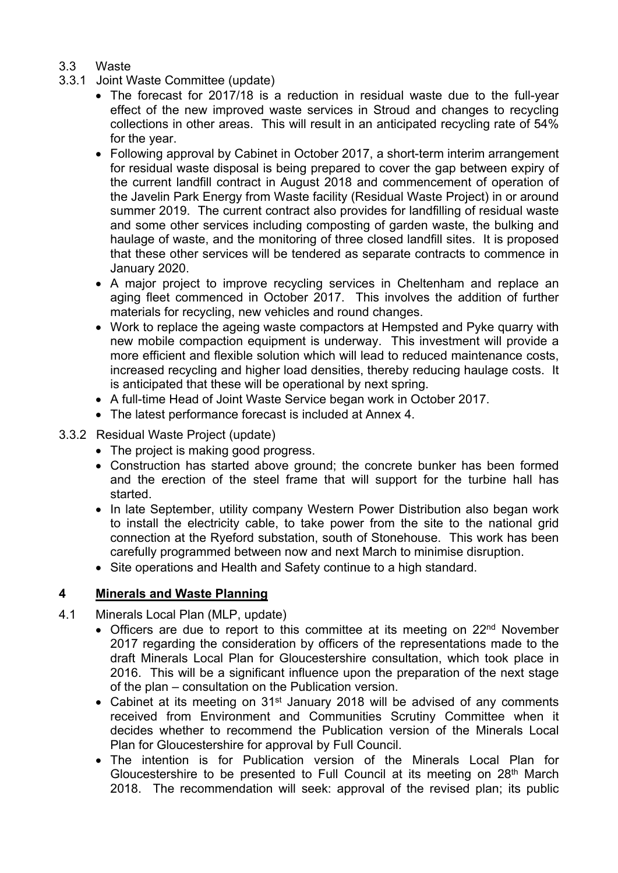# 3.3 Waste

- 3.3.1 Joint Waste Committee (update)
	- The forecast for 2017/18 is a reduction in residual waste due to the full-year effect of the new improved waste services in Stroud and changes to recycling collections in other areas. This will result in an anticipated recycling rate of 54% for the year.
	- Following approval by Cabinet in October 2017, a short-term interim arrangement for residual waste disposal is being prepared to cover the gap between expiry of the current landfill contract in August 2018 and commencement of operation of the Javelin Park Energy from Waste facility (Residual Waste Project) in or around summer 2019. The current contract also provides for landfilling of residual waste and some other services including composting of garden waste, the bulking and haulage of waste, and the monitoring of three closed landfill sites. It is proposed that these other services will be tendered as separate contracts to commence in January 2020.
	- A major project to improve recycling services in Cheltenham and replace an aging fleet commenced in October 2017. This involves the addition of further materials for recycling, new vehicles and round changes.
	- Work to replace the ageing waste compactors at Hempsted and Pyke quarry with new mobile compaction equipment is underway. This investment will provide a more efficient and flexible solution which will lead to reduced maintenance costs, increased recycling and higher load densities, thereby reducing haulage costs. It is anticipated that these will be operational by next spring.
	- A full-time Head of Joint Waste Service began work in October 2017.
	- The latest performance forecast is included at Annex 4.
- 3.3.2 Residual Waste Project (update)
	- The project is making good progress.
	- Construction has started above ground; the concrete bunker has been formed and the erection of the steel frame that will support for the turbine hall has started.
	- In late September, utility company Western Power Distribution also began work to install the electricity cable, to take power from the site to the national grid connection at the Ryeford substation, south of Stonehouse. This work has been carefully programmed between now and next March to minimise disruption.
	- Site operations and Health and Safety continue to a high standard.

# **4 Minerals and Waste Planning**

- 4.1 Minerals Local Plan (MLP, update)
	- Officers are due to report to this committee at its meeting on 22<sup>nd</sup> November 2017 regarding the consideration by officers of the representations made to the draft Minerals Local Plan for Gloucestershire consultation, which took place in 2016. This will be a significant influence upon the preparation of the next stage of the plan – consultation on the Publication version.
	- Cabinet at its meeting on 31<sup>st</sup> January 2018 will be advised of any comments received from Environment and Communities Scrutiny Committee when it decides whether to recommend the Publication version of the Minerals Local Plan for Gloucestershire for approval by Full Council.
	- The intention is for Publication version of the Minerals Local Plan for Gloucestershire to be presented to Full Council at its meeting on 28th March 2018. The recommendation will seek: approval of the revised plan; its public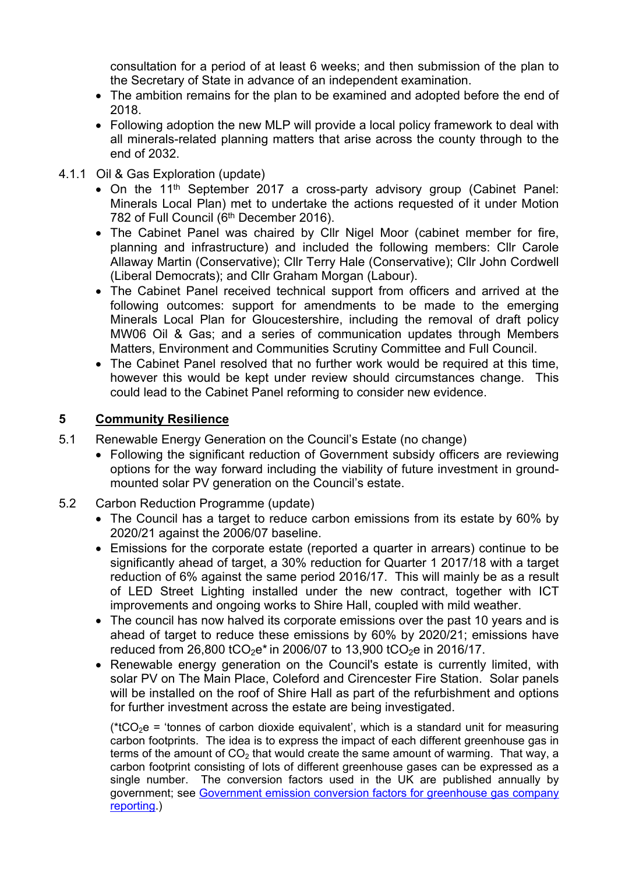consultation for a period of at least 6 weeks; and then submission of the plan to the Secretary of State in advance of an independent examination.

- The ambition remains for the plan to be examined and adopted before the end of 2018.
- Following adoption the new MLP will provide a local policy framework to deal with all minerals-related planning matters that arise across the county through to the end of 2032.
- 4.1.1 Oil & Gas Exploration (update)
	- On the 11<sup>th</sup> September 2017 a cross-party advisory group (Cabinet Panel: Minerals Local Plan) met to undertake the actions requested of it under Motion 782 of Full Council (6<sup>th</sup> December 2016).
	- The Cabinet Panel was chaired by Cllr Nigel Moor (cabinet member for fire, planning and infrastructure) and included the following members: Cllr Carole Allaway Martin (Conservative); Cllr Terry Hale (Conservative); Cllr John Cordwell (Liberal Democrats); and Cllr Graham Morgan (Labour).
	- The Cabinet Panel received technical support from officers and arrived at the following outcomes: support for amendments to be made to the emerging Minerals Local Plan for Gloucestershire, including the removal of draft policy MW06 Oil & Gas; and a series of communication updates through Members Matters, Environment and Communities Scrutiny Committee and Full Council.
	- The Cabinet Panel resolved that no further work would be required at this time, however this would be kept under review should circumstances change. This could lead to the Cabinet Panel reforming to consider new evidence.

#### **5 Community Resilience**

- 5.1 Renewable Energy Generation on the Council's Estate (no change)
	- Following the significant reduction of Government subsidy officers are reviewing options for the way forward including the viability of future investment in groundmounted solar PV generation on the Council's estate.
- 5.2 Carbon Reduction Programme (update)
	- The Council has a target to reduce carbon emissions from its estate by 60% by 2020/21 against the 2006/07 baseline.
	- Emissions for the corporate estate (reported a quarter in arrears) continue to be significantly ahead of target, a 30% reduction for Quarter 1 2017/18 with a target reduction of 6% against the same period 2016/17. This will mainly be as a result of LED Street Lighting installed under the new contract, together with ICT improvements and ongoing works to Shire Hall, coupled with mild weather.
	- The council has now halved its corporate emissions over the past 10 years and is ahead of target to reduce these emissions by 60% by 2020/21; emissions have reduced from 26,800 tCO<sub>2</sub>e<sup>\*</sup> in 2006/07 to 13,900 tCO<sub>2</sub>e in 2016/17.
	- Renewable energy generation on the Council's estate is currently limited, with solar PV on The Main Place, Coleford and Cirencester Fire Station. Solar panels will be installed on the roof of Shire Hall as part of the refurbishment and options for further investment across the estate are being investigated.

(\*tCO<sub>2</sub>e = 'tonnes of carbon dioxide equivalent', which is a standard unit for measuring carbon footprints. The idea is to express the impact of each different greenhouse gas in terms of the amount of  $CO<sub>2</sub>$  that would create the same amount of warming. That way, a carbon footprint consisting of lots of different greenhouse gases can be expressed as a single number. The conversion factors used in the UK are published annually by government; see [Government](https://www.gov.uk/government/collections/government-conversion-factors-for-company-reporting) emission conversion factors for greenhouse gas company [reporting.](https://www.gov.uk/government/collections/government-conversion-factors-for-company-reporting))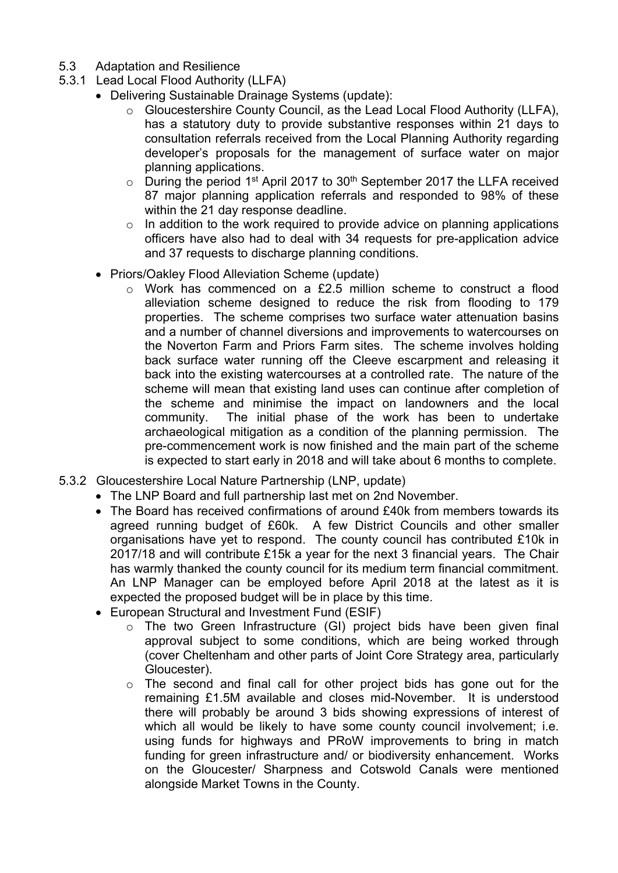- 5.3 Adaptation and Resilience
- 5.3.1 Lead Local Flood Authority (LLFA)
	- Delivering Sustainable Drainage Systems (update):
		- o Gloucestershire County Council, as the Lead Local Flood Authority (LLFA), has a statutory duty to provide substantive responses within 21 days to consultation referrals received from the Local Planning Authority regarding developer's proposals for the management of surface water on major planning applications.
		- $\circ$  During the period 1<sup>st</sup> April 2017 to 30<sup>th</sup> September 2017 the LLFA received 87 major planning application referrals and responded to 98% of these within the 21 day response deadline.
		- o In addition to the work required to provide advice on planning applications officers have also had to deal with 34 requests for pre-application advice and 37 requests to discharge planning conditions.
	- Priors/Oakley Flood Alleviation Scheme (update)
		- o Work has commenced on a £2.5 million scheme to construct a flood alleviation scheme designed to reduce the risk from flooding to 179 properties. The scheme comprises two surface water attenuation basins and a number of channel diversions and improvements to watercourses on the Noverton Farm and Priors Farm sites. The scheme involves holding back surface water running off the Cleeve escarpment and releasing it back into the existing watercourses at a controlled rate. The nature of the scheme will mean that existing land uses can continue after completion of the scheme and minimise the impact on landowners and the local community. The initial phase of the work has been to undertake archaeological mitigation as a condition of the planning permission. The pre-commencement work is now finished and the main part of the scheme is expected to start early in 2018 and will take about 6 months to complete.
- 5.3.2 Gloucestershire Local Nature Partnership (LNP, update)
	- The LNP Board and full partnership last met on 2nd November.
	- The Board has received confirmations of around £40k from members towards its agreed running budget of £60k. A few District Councils and other smaller organisations have yet to respond. The county council has contributed £10k in 2017/18 and will contribute £15k a year for the next 3 financial years. The Chair has warmly thanked the county council for its medium term financial commitment. An LNP Manager can be employed before April 2018 at the latest as it is expected the proposed budget will be in place by this time.
	- European Structural and Investment Fund (ESIF)
		- o The two Green Infrastructure (GI) project bids have been given final approval subject to some conditions, which are being worked through (cover Cheltenham and other parts of Joint Core Strategy area, particularly Gloucester).
		- o The second and final call for other project bids has gone out for the remaining £1.5M available and closes mid-November. It is understood there will probably be around 3 bids showing expressions of interest of which all would be likely to have some county council involvement; i.e. using funds for highways and PRoW improvements to bring in match funding for green infrastructure and/ or biodiversity enhancement. Works on the Gloucester/ Sharpness and Cotswold Canals were mentioned alongside Market Towns in the County.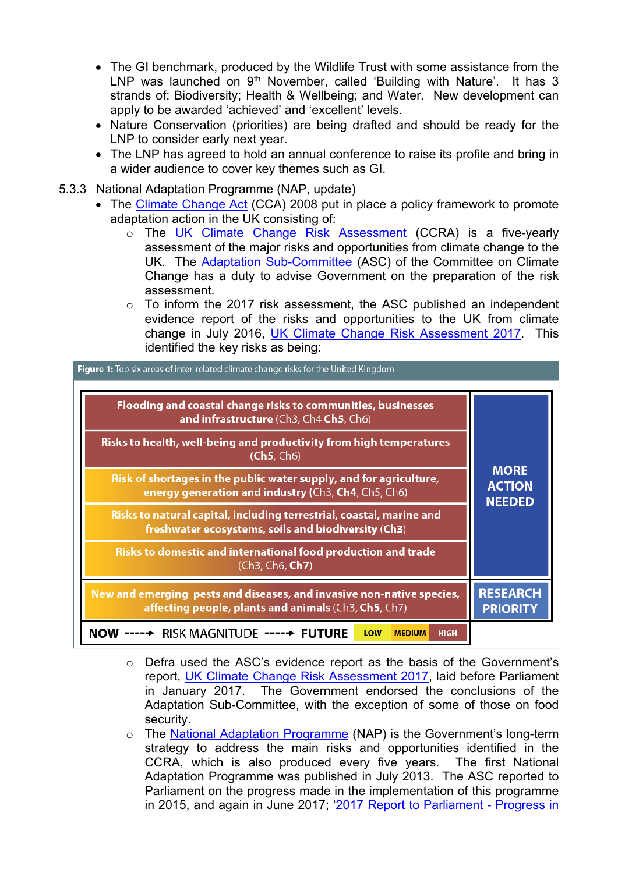- The GI benchmark, produced by the Wildlife Trust with some assistance from the LNP was launched on 9<sup>th</sup> November, called 'Building with Nature'. It has 3 strands of: Biodiversity; Health & Wellbeing; and Water. New development can apply to be awarded 'achieved' and 'excellent' levels.
- Nature Conservation (priorities) are being drafted and should be ready for the LNP to consider early next year.
- The LNP has agreed to hold an annual conference to raise its profile and bring in a wider audience to cover key themes such as GI.
- 5.3.3 National Adaptation Programme (NAP, update)
	- The Climate [Change](https://www.theccc.org.uk/tackling-climate-change/the-legal-landscape/global-action-on-climate-change/) Act (CCA) 2008 put in place a policy framework to promote adaptation action in the UK consisting of:
		- o The UK Climate Change Risk [Assessment](https://www.gov.uk/government/publications/uk-climate-change-risk-assessment-government-report) (CCRA) is a five-yearly assessment of the major risks and opportunities from climate change to the UK. The Adaptation [Sub-Committee](https://www.theccc.org.uk/about/structure-and-governance/asc-members/) (ASC) of the Committee on Climate Change has a duty to advise Government on the preparation of the risk assessment.
		- o To inform the 2017 risk assessment, the ASC published an independent evidence report of the risks and opportunities to the UK from climate change in July 2016, UK Climate Change Risk [Assessment](https://www.theccc.org.uk/publication/uk-climate-change-risk-assessment-2017/) 2017. This identified the key risks as being:

| <b>Figure 1:</b> Top six areas of inter-related climate change risks for the United Kingdom                                   |                                               |
|-------------------------------------------------------------------------------------------------------------------------------|-----------------------------------------------|
| Flooding and coastal change risks to communities, businesses<br>and infrastructure (Ch3, Ch4 Ch5, Ch6)                        |                                               |
| Risks to health, well-being and productivity from high temperatures<br>(Ch5, Ch6)                                             |                                               |
| Risk of shortages in the public water supply, and for agriculture,<br>energy generation and industry (Ch3, Ch4, Ch5, Ch6)     | <b>MORE</b><br><b>ACTION</b><br><b>NEEDED</b> |
| Risks to natural capital, including terrestrial, coastal, marine and<br>freshwater ecosystems, soils and biodiversity (Ch3)   |                                               |
| Risks to domestic and international food production and trade<br>(Ch3, Ch6, Ch7)                                              |                                               |
| New and emerging pests and diseases, and invasive non-native species,<br>affecting people, plants and animals (Ch3, Ch5, Ch7) | <b>RESEARCH</b><br><b>PRIORITY</b>            |
| RISK MAGNITUDE ----- FUTURE<br>NOW<br>LOW<br><b>HIGH</b><br><b>MEDIUM</b>                                                     |                                               |

- o Defra used the ASC's evidence report as the basis of the Government's report, UK Climate Change Risk [Assessment](https://www.gov.uk/government/publications/uk-climate-change-risk-assessment-2017) 2017, laid before Parliament in January 2017. The Government endorsed the conclusions of the Adaptation Sub-Committee, with the exception of some of those on food security.
- o The National Adaptation [Programme](https://www.gov.uk/government/policies/adapting-to-climate-change/supporting-pages/national-adaptation-programme) (NAP) is the Government's long-term strategy to address the main risks and opportunities identified in the CCRA, which is also produced every five years. The first National Adaptation Programme was published in July 2013. The ASC reported to Parliament on the progress made in the implementation of this programme in 2015, and again in June 2017; '2017 Report to [Parliament](https://www.theccc.org.uk/publication/2017-report-to-parliament-progress-in-preparing-for-climate-change/) - Progress in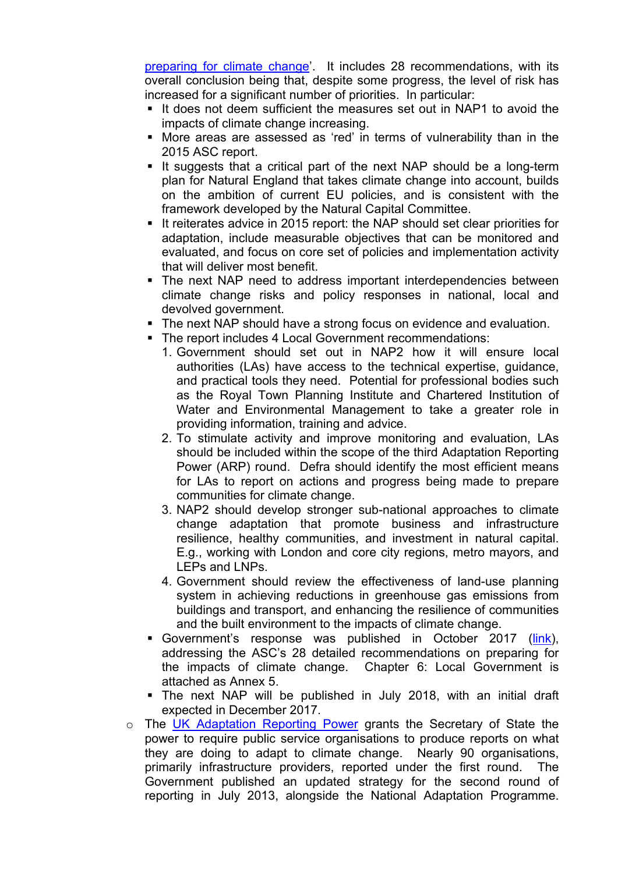[preparing](https://www.theccc.org.uk/publication/2017-report-to-parliament-progress-in-preparing-for-climate-change/) for climate change'. It includes 28 recommendations, with its overall conclusion being that, despite some progress, the level of risk has increased for a significant number of priorities. In particular:

- $\blacksquare$  It does not deem sufficient the measures set out in NAP1 to avoid the impacts of climate change increasing.
- More areas are assessed as 'red' in terms of vulnerability than in the 2015 ASC report.
- It suggests that a critical part of the next NAP should be a long-term plan for Natural England that takes climate change into account, builds on the ambition of current EU policies, and is consistent with the framework developed by the Natural Capital Committee.
- If reiterates advice in 2015 report: the NAP should set clear priorities for adaptation, include measurable objectives that can be monitored and evaluated, and focus on core set of policies and implementation activity that will deliver most benefit.
- The next NAP need to address important interdependencies between climate change risks and policy responses in national, local and devolved government.
- The next NAP should have a strong focus on evidence and evaluation.
- The report includes 4 Local Government recommendations:
	- 1. Government should set out in NAP2 how it will ensure local authorities (LAs) have access to the technical expertise, guidance, and practical tools they need. Potential for professional bodies such as the Royal Town Planning Institute and Chartered Institution of Water and Environmental Management to take a greater role in providing information, training and advice.
	- 2. To stimulate activity and improve monitoring and evaluation, LAs should be included within the scope of the third Adaptation Reporting Power (ARP) round. Defra should identify the most efficient means for LAs to report on actions and progress being made to prepare communities for climate change.
	- 3. NAP2 should develop stronger sub-national approaches to climate change adaptation that promote business and infrastructure resilience, healthy communities, and investment in natural capital. E.g., working with London and core city regions, metro mayors, and LEPs and LNPs.
	- 4. Government should review the effectiveness of land-use planning system in achieving reductions in greenhouse gas emissions from buildings and transport, and enhancing the resilience of communities and the built environment to the impacts of climate change.
- Government's response was published in October 2017 [\(link](https://www.gov.uk/government/uploads/system/uploads/attachment_data/file/651150/CCS207_CCS0917051660-1_Un_Act_Govt_Response_to_CCC_Report_2017_Accessibl.._.pdf)), addressing the ASC's 28 detailed recommendations on preparing for the impacts of climate change. Chapter 6: Local Government is attached as Annex 5.
- The next NAP will be published in July 2018, with an initial draft expected in December 2017.
- o The UK [Adaptation](https://www.gov.uk/government/policies/adapting-to-climate-change/supporting-pages/adaptation-reporting-power) Reporting Power grants the Secretary of State the power to require public service organisations to produce reports on what they are doing to adapt to climate change. Nearly 90 organisations, primarily infrastructure providers, reported under the first round. The Government published an updated strategy for the second round of reporting in July 2013, alongside the National Adaptation Programme.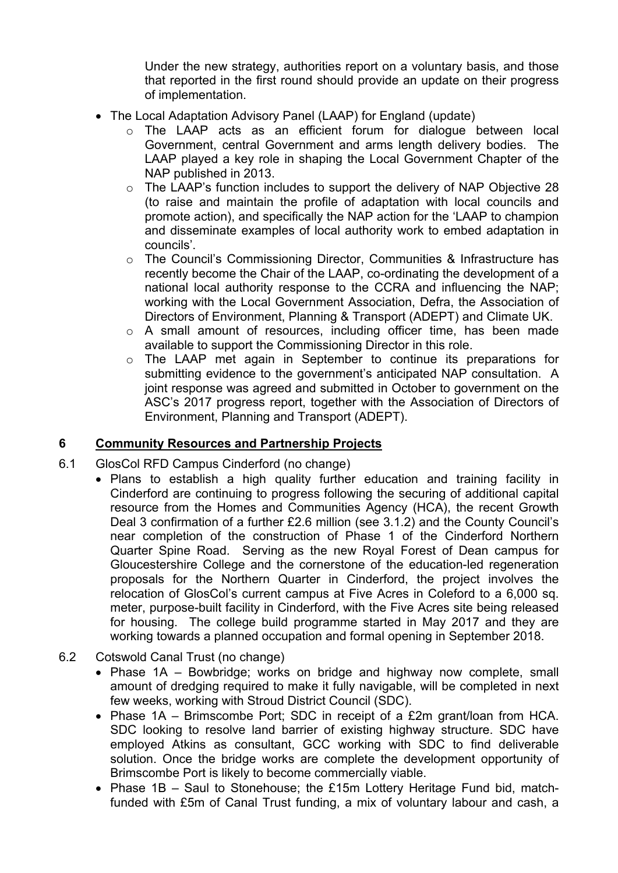Under the new strategy, authorities report on a voluntary basis, and those that reported in the first round should provide an update on their progress of implementation.

- The Local Adaptation Advisory Panel (LAAP) for England (update)
	- o The LAAP acts as an efficient forum for dialogue between local Government, central Government and arms length delivery bodies. The LAAP played a key role in shaping the Local Government Chapter of the NAP published in 2013.
	- o The LAAP's function includes to support the delivery of NAP Objective 28 (to raise and maintain the profile of adaptation with local councils and promote action), and specifically the NAP action for the 'LAAP to champion and disseminate examples of local authority work to embed adaptation in councils'.
	- o The Council's Commissioning Director, Communities & Infrastructure has recently become the Chair of the LAAP, co-ordinating the development of a national local authority response to the CCRA and influencing the NAP; working with the Local Government Association, Defra, the Association of Directors of Environment, Planning & Transport (ADEPT) and Climate UK.
	- o A small amount of resources, including officer time, has been made available to support the Commissioning Director in this role.
	- o The LAAP met again in September to continue its preparations for submitting evidence to the government's anticipated NAP consultation. A joint response was agreed and submitted in October to government on the ASC's 2017 progress report, together with the Association of Directors of Environment, Planning and Transport (ADEPT).

### **6 Community Resources and Partnership Projects**

- 6.1 GlosCol RFD Campus Cinderford (no change)
	- Plans to establish a high quality further education and training facility in Cinderford are continuing to progress following the securing of additional capital resource from the Homes and Communities Agency (HCA), the recent Growth Deal 3 confirmation of a further £2.6 million (see 3.1.2) and the County Council's near completion of the construction of Phase 1 of the Cinderford Northern Quarter Spine Road. Serving as the new Royal Forest of Dean campus for Gloucestershire College and the cornerstone of the education-led regeneration proposals for the Northern Quarter in Cinderford, the project involves the relocation of GlosCol's current campus at Five Acres in Coleford to a 6,000 sq. meter, purpose-built facility in Cinderford, with the Five Acres site being released for housing. The college build programme started in May 2017 and they are working towards a planned occupation and formal opening in September 2018.
- 6.2 Cotswold Canal Trust (no change)
	- Phase 1A Bowbridge; works on bridge and highway now complete, small amount of dredging required to make it fully navigable, will be completed in next few weeks, working with Stroud District Council (SDC).
	- Phase 1A Brimscombe Port; SDC in receipt of a £2m grant/loan from HCA. SDC looking to resolve land barrier of existing highway structure. SDC have employed Atkins as consultant, GCC working with SDC to find deliverable solution. Once the bridge works are complete the development opportunity of Brimscombe Port is likely to become commercially viable.
	- Phase 1B Saul to Stonehouse; the £15m Lottery Heritage Fund bid, matchfunded with £5m of Canal Trust funding, a mix of voluntary labour and cash, a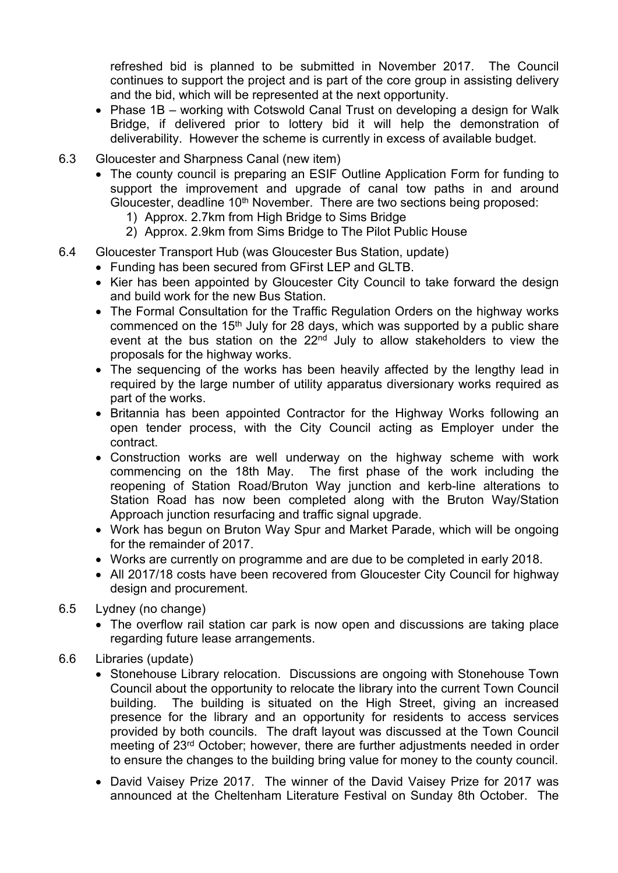refreshed bid is planned to be submitted in November 2017. The Council continues to support the project and is part of the core group in assisting delivery and the bid, which will be represented at the next opportunity.

- Phase 1B working with Cotswold Canal Trust on developing a design for Walk Bridge, if delivered prior to lottery bid it will help the demonstration of deliverability. However the scheme is currently in excess of available budget.
- 6.3 Gloucester and Sharpness Canal (new item)
	- The county council is preparing an ESIF Outline Application Form for funding to support the improvement and upgrade of canal tow paths in and around Gloucester, deadline 10<sup>th</sup> November. There are two sections being proposed:
		- 1) Approx. 2.7km from High Bridge to Sims Bridge
		- 2) Approx. 2.9km from Sims Bridge to The Pilot Public House
- 6.4 Gloucester Transport Hub (was Gloucester Bus Station, update)
	- Funding has been secured from GFirst LEP and GLTB.
		- Kier has been appointed by Gloucester City Council to take forward the design and build work for the new Bus Station.
		- The Formal Consultation for the Traffic Regulation Orders on the highway works commenced on the 15<sup>th</sup> July for 28 days, which was supported by a public share event at the bus station on the  $22<sup>nd</sup>$  July to allow stakeholders to view the proposals for the highway works.
		- The sequencing of the works has been heavily affected by the lengthy lead in required by the large number of utility apparatus diversionary works required as part of the works.
		- Britannia has been appointed Contractor for the Highway Works following an open tender process, with the City Council acting as Employer under the contract.
		- Construction works are well underway on the highway scheme with work commencing on the 18th May. The first phase of the work including the reopening of Station Road/Bruton Way junction and kerb-line alterations to Station Road has now been completed along with the Bruton Way/Station Approach junction resurfacing and traffic signal upgrade.
		- Work has begun on Bruton Way Spur and Market Parade, which will be ongoing for the remainder of 2017.
	- Works are currently on programme and are due to be completed in early 2018.
	- All 2017/18 costs have been recovered from Gloucester City Council for highway design and procurement.
- 6.5 Lydney (no change)
	- The overflow rail station car park is now open and discussions are taking place regarding future lease arrangements.
- 6.6 Libraries (update)
	- Stonehouse Library relocation. Discussions are ongoing with Stonehouse Town Council about the opportunity to relocate the library into the current Town Council building. The building is situated on the High Street, giving an increased presence for the library and an opportunity for residents to access services provided by both councils. The draft layout was discussed at the Town Council meeting of 23rd October; however, there are further adjustments needed in order to ensure the changes to the building bring value for money to the county council.
	- David Vaisey Prize 2017. The winner of the David Vaisey Prize for 2017 was announced at the Cheltenham Literature Festival on Sunday 8th October. The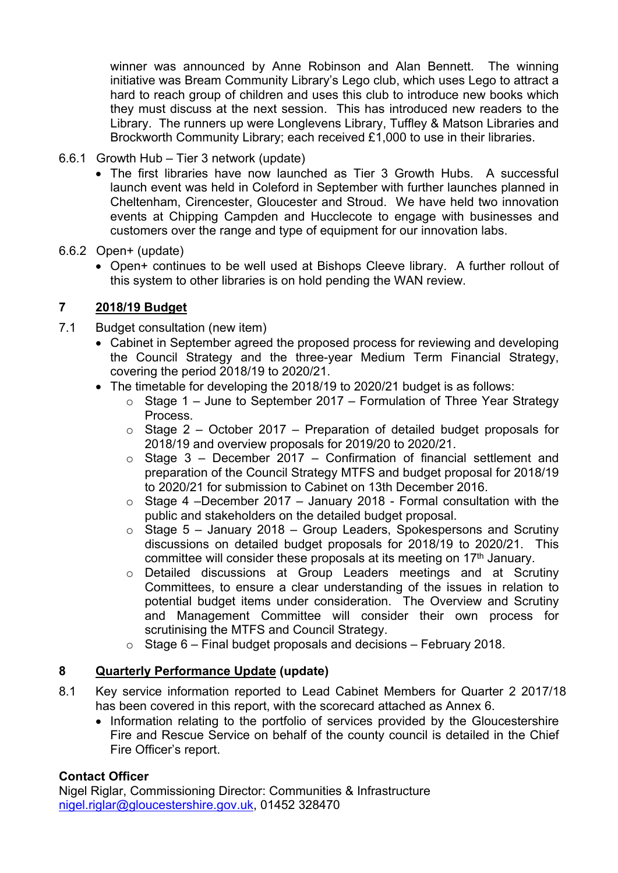winner was announced by Anne Robinson and Alan Bennett. The winning initiative was Bream Community Library's Lego club, which uses Lego to attract a hard to reach group of children and uses this club to introduce new books which they must discuss at the next session. This has introduced new readers to the Library. The runners up were Longlevens Library, Tuffley & Matson Libraries and Brockworth Community Library; each received £1,000 to use in their libraries.

- 6.6.1 Growth Hub Tier 3 network (update)
	- The first libraries have now launched as Tier 3 Growth Hubs. A successful launch event was held in Coleford in September with further launches planned in Cheltenham, Cirencester, Gloucester and Stroud. We have held two innovation events at Chipping Campden and Hucclecote to engage with businesses and customers over the range and type of equipment for our innovation labs.
- 6.6.2 Open+ (update)
	- Open+ continues to be well used at Bishops Cleeve library. A further rollout of this system to other libraries is on hold pending the WAN review.

# **7 2018/19 Budget**

- 7.1 Budget consultation (new item)
	- Cabinet in September agreed the proposed process for reviewing and developing the Council Strategy and the three-year Medium Term Financial Strategy, covering the period 2018/19 to 2020/21.
	- The timetable for developing the 2018/19 to 2020/21 budget is as follows:
		- $\circ$  Stage 1 June to September 2017 Formulation of Three Year Strategy Process.
		- $\circ$  Stage 2 October 2017 Preparation of detailed budget proposals for 2018/19 and overview proposals for 2019/20 to 2020/21.
		- $\circ$  Stage 3 December 2017 Confirmation of financial settlement and preparation of the Council Strategy MTFS and budget proposal for 2018/19 to 2020/21 for submission to Cabinet on 13th December 2016.
		- $\circ$  Stage 4 –December 2017 January 2018 Formal consultation with the public and stakeholders on the detailed budget proposal.
		- $\circ$  Stage 5 January 2018 Group Leaders, Spokespersons and Scrutiny discussions on detailed budget proposals for 2018/19 to 2020/21. This committee will consider these proposals at its meeting on  $17<sup>th</sup>$  January.
		- o Detailed discussions at Group Leaders meetings and at Scrutiny Committees, to ensure a clear understanding of the issues in relation to potential budget items under consideration. The Overview and Scrutiny and Management Committee will consider their own process for scrutinising the MTFS and Council Strategy.
		- $\circ$  Stage 6 Final budget proposals and decisions February 2018.

# **8 Quarterly Performance Update (update)**

- 8.1 Key service information reported to Lead Cabinet Members for Quarter 2 2017/18 has been covered in this report, with the scorecard attached as Annex 6.
	- Information relating to the portfolio of services provided by the Gloucestershire Fire and Rescue Service on behalf of the county council is detailed in the Chief Fire Officer's report.

# **Contact Officer**

Nigel Riglar, Commissioning Director: Communities & Infrastructure [nigel.riglar@gloucestershire.gov.uk](mailto:nigel.riglar@gloucestershire.gov.uk), 01452 328470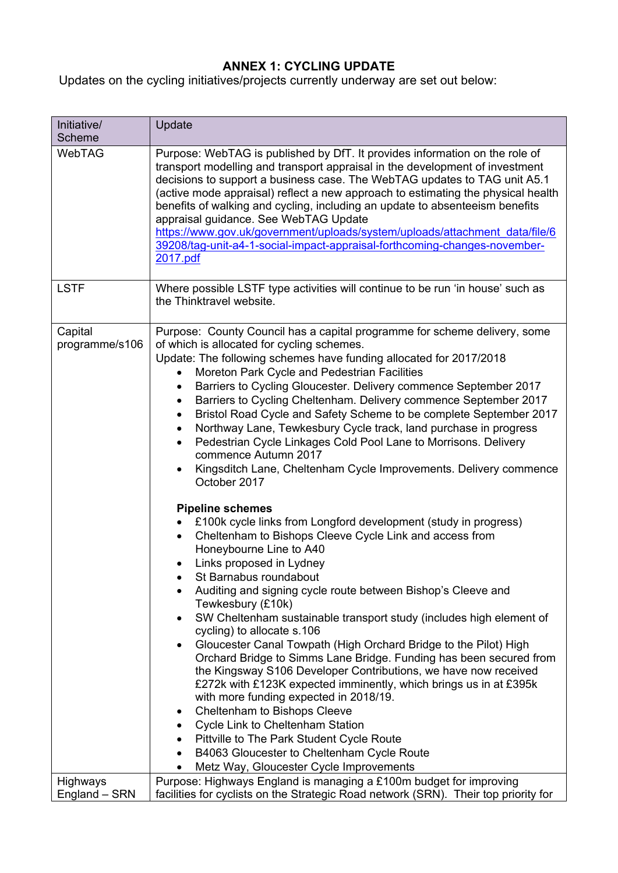# **ANNEX 1: CYCLING UPDATE**

Updates on the cycling initiatives/projects currently underway are set out below:

| Initiative/<br>Scheme            | Update                                                                                                                                                                                                                                                                                                                                                                                                                                                                                                                                                                                                                                                                                                                                                                                                                                                                                                                                                                                                                                                                                                                                                                                                                                                                                                                                                                                                                                                                                                                                                                                                                                                                                                                                                                                                                                                                       |
|----------------------------------|------------------------------------------------------------------------------------------------------------------------------------------------------------------------------------------------------------------------------------------------------------------------------------------------------------------------------------------------------------------------------------------------------------------------------------------------------------------------------------------------------------------------------------------------------------------------------------------------------------------------------------------------------------------------------------------------------------------------------------------------------------------------------------------------------------------------------------------------------------------------------------------------------------------------------------------------------------------------------------------------------------------------------------------------------------------------------------------------------------------------------------------------------------------------------------------------------------------------------------------------------------------------------------------------------------------------------------------------------------------------------------------------------------------------------------------------------------------------------------------------------------------------------------------------------------------------------------------------------------------------------------------------------------------------------------------------------------------------------------------------------------------------------------------------------------------------------------------------------------------------------|
| <b>WebTAG</b>                    | Purpose: WebTAG is published by DfT. It provides information on the role of<br>transport modelling and transport appraisal in the development of investment<br>decisions to support a business case. The WebTAG updates to TAG unit A5.1<br>(active mode appraisal) reflect a new approach to estimating the physical health<br>benefits of walking and cycling, including an update to absenteeism benefits<br>appraisal guidance. See WebTAG Update<br>https://www.gov.uk/government/uploads/system/uploads/attachment_data/file/6<br>39208/tag-unit-a4-1-social-impact-appraisal-forthcoming-changes-november-<br>2017.pdf                                                                                                                                                                                                                                                                                                                                                                                                                                                                                                                                                                                                                                                                                                                                                                                                                                                                                                                                                                                                                                                                                                                                                                                                                                                |
| <b>LSTF</b>                      | Where possible LSTF type activities will continue to be run 'in house' such as<br>the Thinktravel website.                                                                                                                                                                                                                                                                                                                                                                                                                                                                                                                                                                                                                                                                                                                                                                                                                                                                                                                                                                                                                                                                                                                                                                                                                                                                                                                                                                                                                                                                                                                                                                                                                                                                                                                                                                   |
| Capital<br>programme/s106        | Purpose: County Council has a capital programme for scheme delivery, some<br>of which is allocated for cycling schemes.<br>Update: The following schemes have funding allocated for 2017/2018<br>Moreton Park Cycle and Pedestrian Facilities<br>$\bullet$<br>Barriers to Cycling Gloucester. Delivery commence September 2017<br>$\bullet$<br>Barriers to Cycling Cheltenham. Delivery commence September 2017<br>$\bullet$<br>Bristol Road Cycle and Safety Scheme to be complete September 2017<br>$\bullet$<br>Northway Lane, Tewkesbury Cycle track, land purchase in progress<br>$\bullet$<br>Pedestrian Cycle Linkages Cold Pool Lane to Morrisons. Delivery<br>$\bullet$<br>commence Autumn 2017<br>Kingsditch Lane, Cheltenham Cycle Improvements. Delivery commence<br>$\bullet$<br>October 2017<br><b>Pipeline schemes</b><br>£100k cycle links from Longford development (study in progress)<br>Cheltenham to Bishops Cleeve Cycle Link and access from<br>$\bullet$<br>Honeybourne Line to A40<br>Links proposed in Lydney<br>St Barnabus roundabout<br>Auditing and signing cycle route between Bishop's Cleeve and<br>Tewkesbury (£10k)<br>SW Cheltenham sustainable transport study (includes high element of<br>$\bullet$<br>cycling) to allocate s.106<br>Gloucester Canal Towpath (High Orchard Bridge to the Pilot) High<br>$\bullet$<br>Orchard Bridge to Simms Lane Bridge. Funding has been secured from<br>the Kingsway S106 Developer Contributions, we have now received<br>£272k with £123K expected imminently, which brings us in at £395k<br>with more funding expected in 2018/19.<br>Cheltenham to Bishops Cleeve<br>٠<br>Cycle Link to Cheltenham Station<br>٠<br>Pittville to The Park Student Cycle Route<br>$\bullet$<br>B4063 Gloucester to Cheltenham Cycle Route<br>$\bullet$<br>Metz Way, Gloucester Cycle Improvements<br>$\bullet$ |
| <b>Highways</b><br>England - SRN | Purpose: Highways England is managing a £100m budget for improving<br>facilities for cyclists on the Strategic Road network (SRN). Their top priority for                                                                                                                                                                                                                                                                                                                                                                                                                                                                                                                                                                                                                                                                                                                                                                                                                                                                                                                                                                                                                                                                                                                                                                                                                                                                                                                                                                                                                                                                                                                                                                                                                                                                                                                    |
|                                  |                                                                                                                                                                                                                                                                                                                                                                                                                                                                                                                                                                                                                                                                                                                                                                                                                                                                                                                                                                                                                                                                                                                                                                                                                                                                                                                                                                                                                                                                                                                                                                                                                                                                                                                                                                                                                                                                              |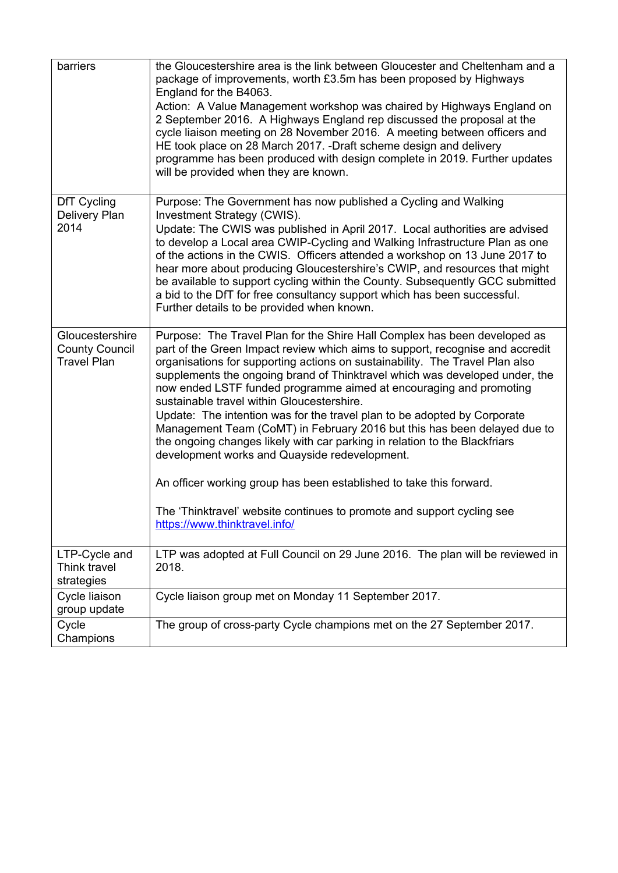| barriers                                                       | the Gloucestershire area is the link between Gloucester and Cheltenham and a<br>package of improvements, worth £3.5m has been proposed by Highways<br>England for the B4063.<br>Action: A Value Management workshop was chaired by Highways England on<br>2 September 2016. A Highways England rep discussed the proposal at the<br>cycle liaison meeting on 28 November 2016. A meeting between officers and<br>HE took place on 28 March 2017. -Draft scheme design and delivery<br>programme has been produced with design complete in 2019. Further updates<br>will be provided when they are known.                                                                                                                                                                                                                                                                                                               |
|----------------------------------------------------------------|------------------------------------------------------------------------------------------------------------------------------------------------------------------------------------------------------------------------------------------------------------------------------------------------------------------------------------------------------------------------------------------------------------------------------------------------------------------------------------------------------------------------------------------------------------------------------------------------------------------------------------------------------------------------------------------------------------------------------------------------------------------------------------------------------------------------------------------------------------------------------------------------------------------------|
| DfT Cycling<br>Delivery Plan<br>2014                           | Purpose: The Government has now published a Cycling and Walking<br>Investment Strategy (CWIS).<br>Update: The CWIS was published in April 2017. Local authorities are advised<br>to develop a Local area CWIP-Cycling and Walking Infrastructure Plan as one<br>of the actions in the CWIS. Officers attended a workshop on 13 June 2017 to<br>hear more about producing Gloucestershire's CWIP, and resources that might<br>be available to support cycling within the County. Subsequently GCC submitted<br>a bid to the DfT for free consultancy support which has been successful.<br>Further details to be provided when known.                                                                                                                                                                                                                                                                                   |
| Gloucestershire<br><b>County Council</b><br><b>Travel Plan</b> | Purpose: The Travel Plan for the Shire Hall Complex has been developed as<br>part of the Green Impact review which aims to support, recognise and accredit<br>organisations for supporting actions on sustainability. The Travel Plan also<br>supplements the ongoing brand of Thinktravel which was developed under, the<br>now ended LSTF funded programme aimed at encouraging and promoting<br>sustainable travel within Gloucestershire.<br>Update: The intention was for the travel plan to be adopted by Corporate<br>Management Team (CoMT) in February 2016 but this has been delayed due to<br>the ongoing changes likely with car parking in relation to the Blackfriars<br>development works and Quayside redevelopment.<br>An officer working group has been established to take this forward.<br>The 'Thinktravel' website continues to promote and support cycling see<br>https://www.thinktravel.info/ |
| LTP-Cycle and<br>Think travel<br>strategies                    | LTP was adopted at Full Council on 29 June 2016. The plan will be reviewed in<br>2018.                                                                                                                                                                                                                                                                                                                                                                                                                                                                                                                                                                                                                                                                                                                                                                                                                                 |
| Cycle liaison<br>group update                                  | Cycle liaison group met on Monday 11 September 2017.                                                                                                                                                                                                                                                                                                                                                                                                                                                                                                                                                                                                                                                                                                                                                                                                                                                                   |
| Cycle<br>Champions                                             | The group of cross-party Cycle champions met on the 27 September 2017.                                                                                                                                                                                                                                                                                                                                                                                                                                                                                                                                                                                                                                                                                                                                                                                                                                                 |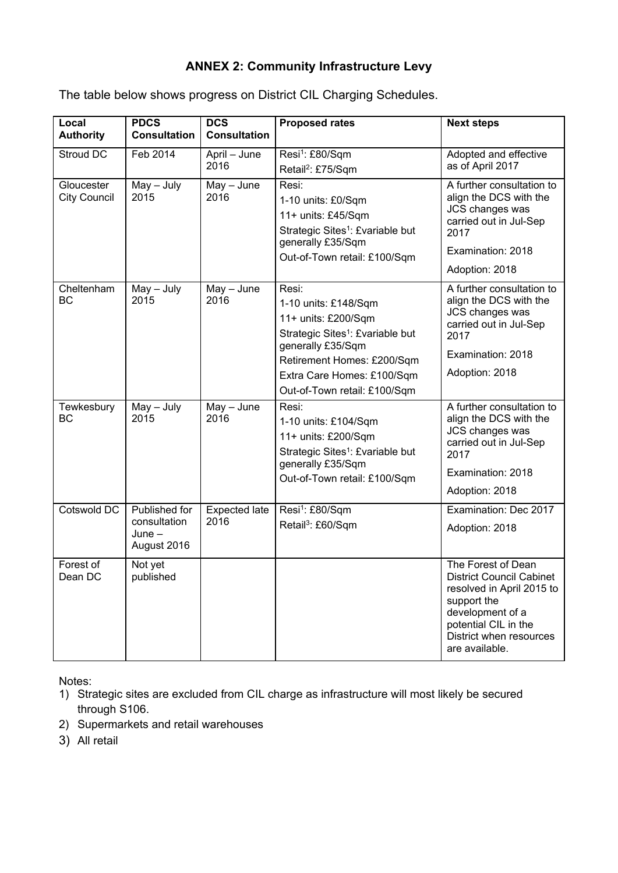# **ANNEX 2: Community Infrastructure Levy**

The table below shows progress on District CIL Charging Schedules.

| Local<br><b>Authority</b>         | <b>PDCS</b><br><b>Consultation</b>                       | <b>DCS</b><br><b>Consultation</b> | <b>Proposed rates</b>                                                                                                                                                                                                 | <b>Next steps</b>                                                                                                                                                                          |
|-----------------------------------|----------------------------------------------------------|-----------------------------------|-----------------------------------------------------------------------------------------------------------------------------------------------------------------------------------------------------------------------|--------------------------------------------------------------------------------------------------------------------------------------------------------------------------------------------|
| <b>Stroud DC</b>                  | Feb 2014                                                 | April - June<br>2016              | Resi <sup>1</sup> : £80/Sqm<br>Retail <sup>2</sup> : £75/Sqm                                                                                                                                                          | Adopted and effective<br>as of April 2017                                                                                                                                                  |
| Gloucester<br><b>City Council</b> | $May - July$<br>2015                                     | $May - June$<br>2016              | Resi:<br>1-10 units: £0/Sqm<br>11+ units: £45/Sqm<br>Strategic Sites <sup>1</sup> : £variable but<br>generally £35/Sqm<br>Out-of-Town retail: £100/Sqm                                                                | A further consultation to<br>align the DCS with the<br>JCS changes was<br>carried out in Jul-Sep<br>2017<br>Examination: 2018<br>Adoption: 2018                                            |
| Cheltenham<br><b>BC</b>           | $May - July$<br>2015                                     | $May - June$<br>2016              | Resi:<br>1-10 units: £148/Sqm<br>11+ units: £200/Sqm<br>Strategic Sites <sup>1</sup> : £variable but<br>generally £35/Sqm<br>Retirement Homes: £200/Sqm<br>Extra Care Homes: £100/Sqm<br>Out-of-Town retail: £100/Sqm | A further consultation to<br>align the DCS with the<br>JCS changes was<br>carried out in Jul-Sep<br>2017<br>Examination: 2018<br>Adoption: 2018                                            |
| Tewkesbury<br><b>BC</b>           | May - July<br>2015                                       | $May - June$<br>2016              | Resi:<br>1-10 units: £104/Sqm<br>11+ units: £200/Sqm<br>Strategic Sites <sup>1</sup> : £variable but<br>generally £35/Sqm<br>Out-of-Town retail: £100/Sqm                                                             | A further consultation to<br>align the DCS with the<br>JCS changes was<br>carried out in Jul-Sep<br>2017<br>Examination: 2018<br>Adoption: 2018                                            |
| Cotswold DC                       | Published for<br>consultation<br>$June -$<br>August 2016 | <b>Expected late</b><br>2016      | Resi <sup>1</sup> : £80/Sqm<br>Retail <sup>3</sup> : £60/Sqm                                                                                                                                                          | Examination: Dec 2017<br>Adoption: 2018                                                                                                                                                    |
| Forest of<br>Dean DC              | Not yet<br>published                                     |                                   |                                                                                                                                                                                                                       | The Forest of Dean<br><b>District Council Cabinet</b><br>resolved in April 2015 to<br>support the<br>development of a<br>potential CIL in the<br>District when resources<br>are available. |

Notes:

- 1) Strategic sites are excluded from CIL charge as infrastructure will most likely be secured through S106.
- 2) Supermarkets and retail warehouses
- 3) All retail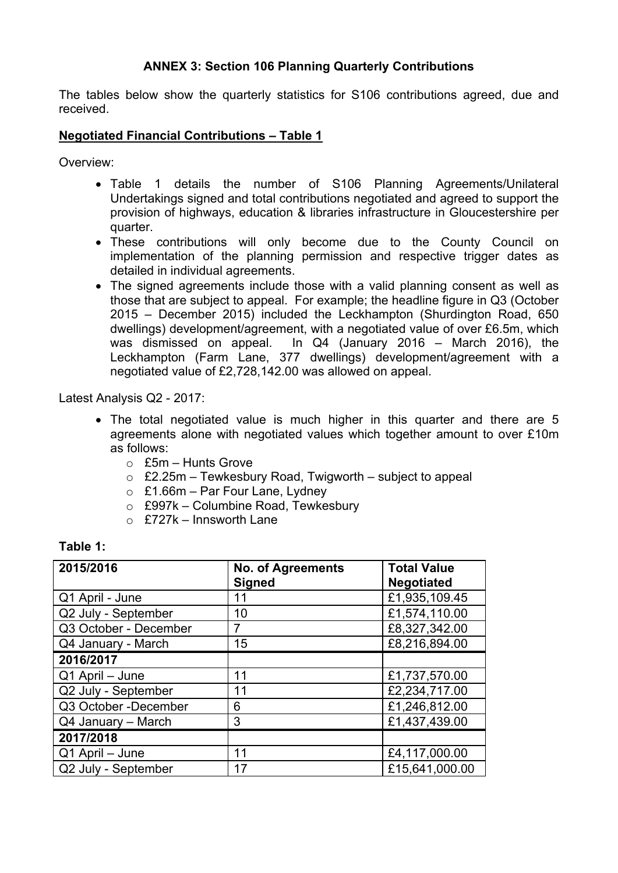### **ANNEX 3: Section 106 Planning Quarterly Contributions**

The tables below show the quarterly statistics for S106 contributions agreed, due and received.

#### **Negotiated Financial Contributions – Table 1**

Overview:

- Table 1 details the number of S106 Planning Agreements/Unilateral Undertakings signed and total contributions negotiated and agreed to support the provision of highways, education & libraries infrastructure in Gloucestershire per quarter.
- These contributions will only become due to the County Council on implementation of the planning permission and respective trigger dates as detailed in individual agreements.
- The signed agreements include those with a valid planning consent as well as those that are subject to appeal. For example; the headline figure in Q3 (October 2015 – December 2015) included the Leckhampton (Shurdington Road, 650 dwellings) development/agreement, with a negotiated value of over £6.5m, which was dismissed on appeal. In Q4 (January 2016 – March 2016), the Leckhampton (Farm Lane, 377 dwellings) development/agreement with a negotiated value of £2,728,142.00 was allowed on appeal.

Latest Analysis Q2 - 2017:

- The total negotiated value is much higher in this quarter and there are 5 agreements alone with negotiated values which together amount to over £10m as follows:
	- $\circ$  £5m Hunts Grove
	- $\circ$  £2.25m Tewkesbury Road, Twigworth subject to appeal
	- $\circ$  £1.66m Par Four Lane, Lydney
	- $\circ$  £997k Columbine Road, Tewkesbury
	- $\circ$  £727k Innsworth Lane

#### **Table 1:**

| 2015/2016             | <b>No. of Agreements</b><br><b>Signed</b> | <b>Total Value</b><br><b>Negotiated</b> |
|-----------------------|-------------------------------------------|-----------------------------------------|
| Q1 April - June       | 11                                        | £1,935,109.45                           |
| Q2 July - September   | 10                                        | £1,574,110.00                           |
| Q3 October - December | 7                                         | £8,327,342.00                           |
| Q4 January - March    | 15                                        | £8,216,894.00                           |
| 2016/2017             |                                           |                                         |
| Q1 April - June       | 11                                        | £1,737,570.00                           |
| Q2 July - September   | 11                                        | £2,234,717.00                           |
| Q3 October -December  | 6                                         | £1,246,812.00                           |
| Q4 January - March    | 3                                         | £1,437,439.00                           |
| 2017/2018             |                                           |                                         |
| Q1 April - June       | 11                                        | £4,117,000.00                           |
| Q2 July - September   | 17                                        | £15,641,000.00                          |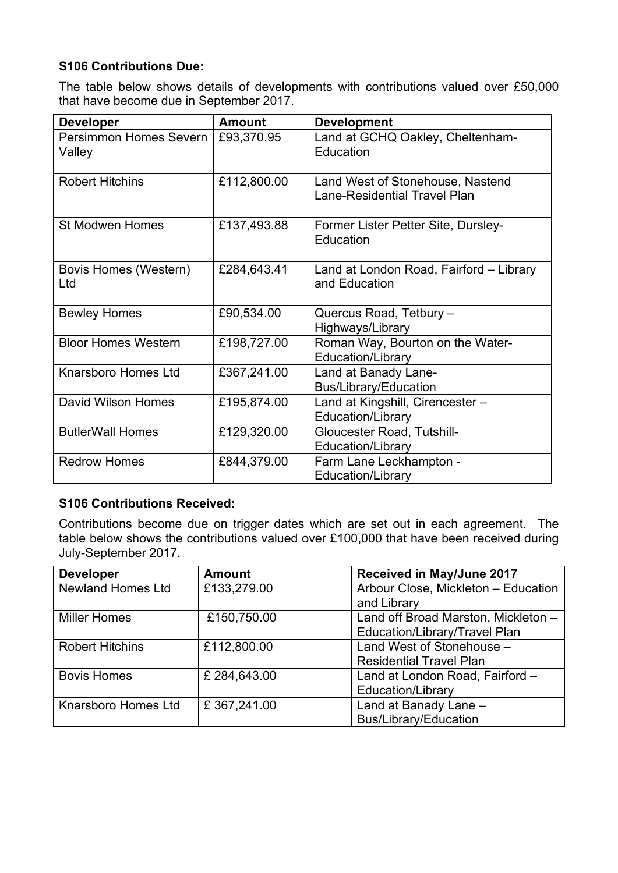# **S106 Contributions Due:**

The table below shows details of developments with contributions valued over £50,000 that have become due in September 2017.

| <b>Developer</b>                        | <b>Amount</b> | <b>Development</b>                                                      |
|-----------------------------------------|---------------|-------------------------------------------------------------------------|
| <b>Persimmon Homes Severn</b><br>Valley | £93,370.95    | Land at GCHQ Oakley, Cheltenham-<br>Education                           |
| <b>Robert Hitchins</b>                  | £112,800.00   | Land West of Stonehouse, Nastend<br><b>Lane-Residential Travel Plan</b> |
| <b>St Modwen Homes</b>                  | £137,493.88   | Former Lister Petter Site, Dursley-<br>Education                        |
| Bovis Homes (Western)<br>Ltd            | £284,643.41   | Land at London Road, Fairford - Library<br>and Education                |
| <b>Bewley Homes</b>                     | £90,534.00    | Quercus Road, Tetbury -<br>Highways/Library                             |
| <b>Bloor Homes Western</b>              | £198,727.00   | Roman Way, Bourton on the Water-<br>Education/Library                   |
| <b>Knarsboro Homes Ltd</b>              | £367,241.00   | Land at Banady Lane-<br><b>Bus/Library/Education</b>                    |
| <b>David Wilson Homes</b>               | £195,874.00   | Land at Kingshill, Cirencester -<br>Education/Library                   |
| <b>ButlerWall Homes</b>                 | £129,320.00   | <b>Gloucester Road, Tutshill-</b><br>Education/Library                  |
| <b>Redrow Homes</b>                     | £844,379.00   | Farm Lane Leckhampton -<br>Education/Library                            |

#### **S106 Contributions Received:**

Contributions become due on trigger dates which are set out in each agreement. The table below shows the contributions valued over £100,000 that have been received during July-September 2017.

| <b>Developer</b>         | <b>Amount</b> | <b>Received in May/June 2017</b>    |
|--------------------------|---------------|-------------------------------------|
| <b>Newland Homes Ltd</b> | £133,279.00   | Arbour Close, Mickleton - Education |
|                          |               | and Library                         |
| <b>Miller Homes</b>      | £150,750.00   | Land off Broad Marston, Mickleton - |
|                          |               | Education/Library/Travel Plan       |
| <b>Robert Hitchins</b>   | £112,800.00   | Land West of Stonehouse -           |
|                          |               | <b>Residential Travel Plan</b>      |
| <b>Bovis Homes</b>       | £ 284,643.00  | Land at London Road, Fairford -     |
|                          |               | <b>Education/Library</b>            |
| Knarsboro Homes Ltd      | £367,241.00   | Land at Banady Lane -               |
|                          |               | Bus/Library/Education               |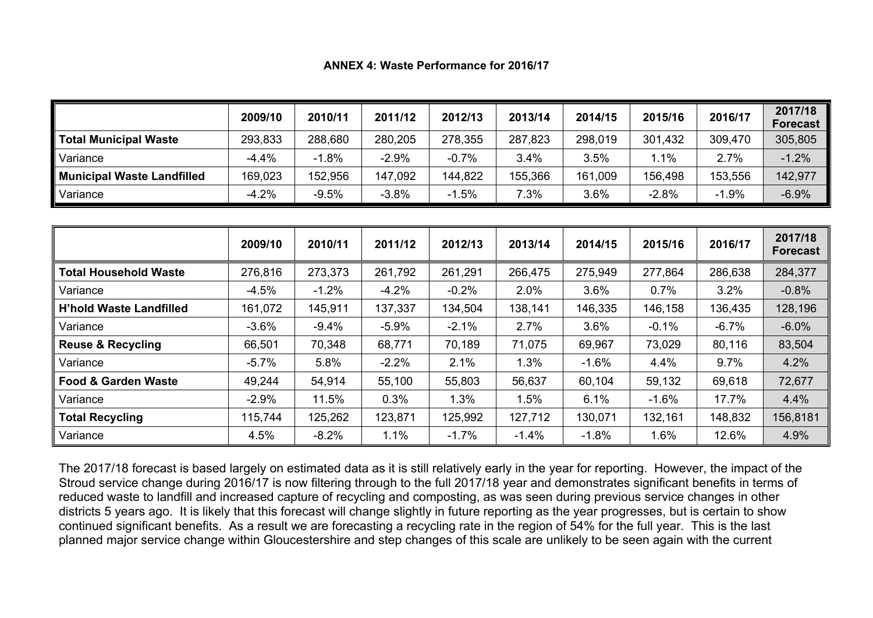**ANNEX 4: Waste Performance for 2016/17**

|                            | 2009/10 | 2010/11 | 2011/12 | 2012/13 | 2013/14 | 2014/15 | 2015/16 | 2016/17 | 2017/18<br><b>Forecast</b> |
|----------------------------|---------|---------|---------|---------|---------|---------|---------|---------|----------------------------|
| Total Municipal Waste      | 293,833 | 288,680 | 280,205 | 278,355 | 287,823 | 298,019 | 301,432 | 309,470 | 305,805                    |
| Variance                   | $-4.4%$ | $-1.8%$ | $-2.9%$ | $-0.7%$ | 3.4%    | 3.5%    | $1.1\%$ | 2.7%    | $-1.2%$                    |
| Municipal Waste Landfilled | 169,023 | 152,956 | 147,092 | 144,822 | 155,366 | 161,009 | 156,498 | 153,556 | 142,977                    |
| Variance                   | $-4.2%$ | $-9.5%$ | $-3.8%$ | $-1.5%$ | 7.3%    | 3.6%    | $-2.8%$ | $-1.9%$ | $-6.9%$                    |

|                                | 2009/10 | 2010/11 | 2011/12 | 2012/13 | 2013/14 | 2014/15 | 2015/16 | 2016/17 | 2017/18<br><b>Forecast</b> |
|--------------------------------|---------|---------|---------|---------|---------|---------|---------|---------|----------------------------|
| <b>Total Household Waste</b>   | 276,816 | 273,373 | 261,792 | 261,291 | 266,475 | 275,949 | 277,864 | 286,638 | 284,377                    |
| Variance                       | $-4.5%$ | $-1.2%$ | $-4.2%$ | $-0.2%$ | 2.0%    | 3.6%    | 0.7%    | 3.2%    | $-0.8%$                    |
| <b>H'hold Waste Landfilled</b> | 161,072 | 145,911 | 137,337 | 134,504 | 138,141 | 146,335 | 146,158 | 136,435 | 128,196                    |
| Variance                       | $-3.6%$ | $-9.4%$ | $-5.9%$ | $-2.1%$ | 2.7%    | 3.6%    | $-0.1%$ | $-6.7%$ | $-6.0%$                    |
| <b>Reuse &amp; Recycling</b>   | 66,501  | 70,348  | 68,771  | 70,189  | 71,075  | 69,967  | 73,029  | 80,116  | 83,504                     |
| Variance                       | $-5.7%$ | 5.8%    | $-2.2%$ | 2.1%    | 1.3%    | $-1.6%$ | 4.4%    | 9.7%    | 4.2%                       |
| <b>Food &amp; Garden Waste</b> | 49,244  | 54,914  | 55,100  | 55,803  | 56,637  | 60,104  | 59,132  | 69,618  | 72,677                     |
| Variance                       | $-2.9%$ | 11.5%   | 0.3%    | 1.3%    | 1.5%    | 6.1%    | $-1.6%$ | 17.7%   | 4.4%                       |
| <b>Total Recycling</b>         | 115,744 | 125,262 | 123,871 | 125,992 | 127,712 | 130,071 | 132,161 | 148,832 | 156,8181                   |
| Variance                       | 4.5%    | $-8.2%$ | 1.1%    | $-1.7%$ | $-1.4%$ | $-1.8%$ | 1.6%    | 12.6%   | 4.9%                       |

The 2017/18 forecast is based largely on estimated data as it is still relatively early in the year for reporting. However, the impact of the Stroud service change during 2016/17 is now filtering through to the full 2017/18 year and demonstrates significant benefits in terms of reduced waste to landfill and increased capture of recycling and composting, as was seen during previous service changes in other districts 5 years ago. It is likely that this forecast will change slightly in future reporting as the year progresses, but is certain to show continued significant benefits. As a result we are forecasting a recycling rate in the region of 54% for the full year. This is the last planned major service change within Gloucestershire and step changes of this scale are unlikely to be seen again with the current